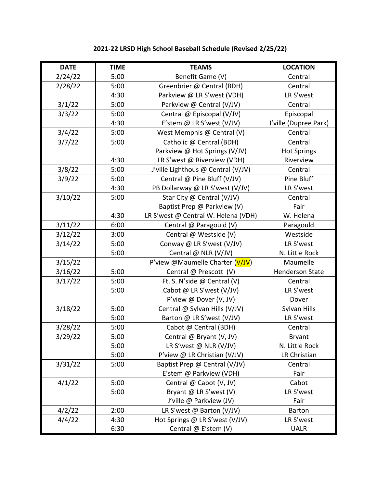| <b>DATE</b> | <b>TIME</b> | <b>TEAMS</b>                        | <b>LOCATION</b>        |
|-------------|-------------|-------------------------------------|------------------------|
| 2/24/22     | 5:00        | Benefit Game (V)                    | Central                |
| 2/28/22     | 5:00        | Greenbrier @ Central (BDH)          | Central                |
|             | 4:30        | Parkview @ LR S'west (VDH)          | LR S'west              |
| 3/1/22      | 5:00        | Parkview @ Central (V/JV)           | Central                |
| 3/3/22      | 5:00        | Central @ Episcopal (V/JV)          | Episcopal              |
|             | 4:30        | E'stem @ LR S'west (V/JV)           | J'ville (Dupree Park)  |
| 3/4/22      | 5:00        | West Memphis @ Central (V)          | Central                |
| 3/7/22      | 5:00        | Catholic @ Central (BDH)            | Central                |
|             |             | Parkview @ Hot Springs (V/JV)       | <b>Hot Springs</b>     |
|             | 4:30        | LR S'west @ Riverview (VDH)         | Riverview              |
| 3/8/22      | 5:00        | J'ville Lighthous @ Central (V/JV)  | Central                |
| 3/9/22      | 5:00        | Central @ Pine Bluff (V/JV)         | Pine Bluff             |
|             | 4:30        | PB Dollarway @ LR S'west (V/JV)     | LR S'west              |
| 3/10/22     | 5:00        | Star City @ Central (V/JV)          | Central                |
|             |             | Baptist Prep @ Parkview (V)         | Fair                   |
|             | 4:30        | LR S'west @ Central W. Helena (VDH) | W. Helena              |
| 3/11/22     | 6:00        | Central @ Paragould (V)             | Paragould              |
| 3/12/22     | 3:00        | Central @ Westside (V)              | Westside               |
| 3/14/22     | 5:00        | Conway @ LR S'west (V/JV)           | LR S'west              |
|             | 5:00        | Central @ NLR (V/JV)                | N. Little Rock         |
| 3/15/22     |             | P'view @Maumelle Charter (V/JV)     | Maumelle               |
| 3/16/22     | 5:00        | Central @ Prescott (V)              | <b>Henderson State</b> |
| 3/17/22     | 5:00        | Ft. S. N'side @ Central (V)         | Central                |
|             | 5:00        | Cabot @ LR S'west (V/JV)            | LR S'west              |
|             |             | P'view @ Dover (V, JV)              | Dover                  |
| 3/18/22     | 5:00        | Central @ Sylvan Hills (V/JV)       | Sylvan Hills           |
|             | 5:00        | Barton @ LR S'west (V/JV)           | LR S'west              |
| 3/28/22     | 5:00        | Cabot @ Central (BDH)               | Central                |
| 3/29/22     | 5:00        | Central @ Bryant (V, JV)            | Bryant                 |
|             | 5:00        | LR S'west @ NLR $(V/JV)$            | N. Little Rock         |
|             | 5:00        | P'view @ LR Christian (V/JV)        | LR Christian           |
| 3/31/22     | 5:00        | Baptist Prep @ Central (V/JV)       | Central                |
|             |             | E'stem @ Parkview (VDH)             | Fair                   |
| 4/1/22      | 5:00        | Central @ Cabot (V, JV)             | Cabot                  |
|             | 5:00        | Bryant @ LR S'west (V)              | LR S'west              |
|             |             | J'ville @ Parkview (JV)             | Fair                   |
| 4/2/22      | 2:00        | LR S'west @ Barton (V/JV)           | <b>Barton</b>          |
| 4/4/22      | 4:30        | Hot Springs @ LR S'west (V/JV)      | LR S'west              |
|             | 6:30        | Central @ E'stem (V)                | <b>UALR</b>            |

## **2021-22 LRSD High School Baseball Schedule (Revised 2/25/22)**